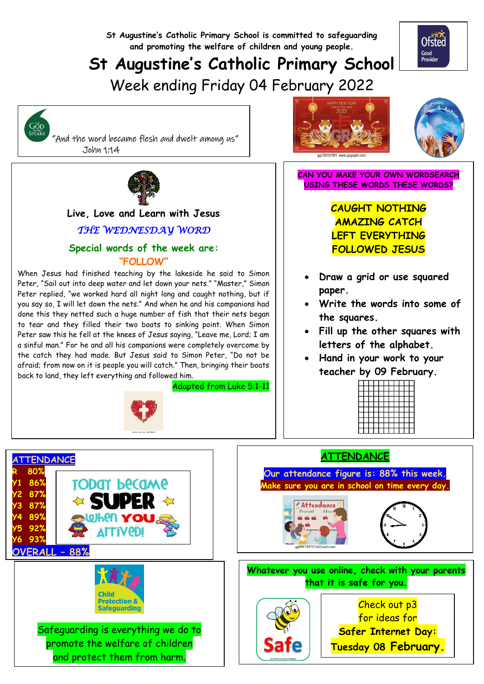

## **St Augustine's Catholic Primary School**

Week ending Friday 04 February 2022



 "And the word became flesh and dwelt among us" John 1:14



### **Live, Love and Learn with Jesus**

## *THE WEDNESDAY WORD*

### **Special words of the week are: "FOLLOW"**

When Jesus had finished teaching by the lakeside he said to Simon Peter, "Sail out into deep water and let down your nets." "Master," Simon Peter replied, "we worked hard all night long and caught nothing, but if you say so, I will let down the nets." And when he and his companions had done this they netted such a huge number of fish that their nets began to tear and they filled their two boats to sinking point. When Simon Peter saw this he fell at the knees of Jesus saying, "Leave me, Lord; I am a sinful man." For he and all his companions were completely overcome by the catch they had made. But Jesus said to Simon Peter, "Do not be afraid; from now on it is people you will catch." Then, bringing their boats back to land, they left everything and followed him.

Adapted from Luke 5:1-11







Ofsted Good<br>Provider

**CAN YOU MAKE YOUR OWN WORDSEARCH USING THESE WORDS THESE WORDS?**

> **CAUGHT NOTHING AMAZING CATCH LEFT EVERYTHING FOLLOWED JESUS**

- **Draw a grid or use squared paper.**
- **Write the words into some of the squares.**
- **Fill up the other squares with letters of the alphabet.**
- **Hand in your work to your teacher by 09 February.**



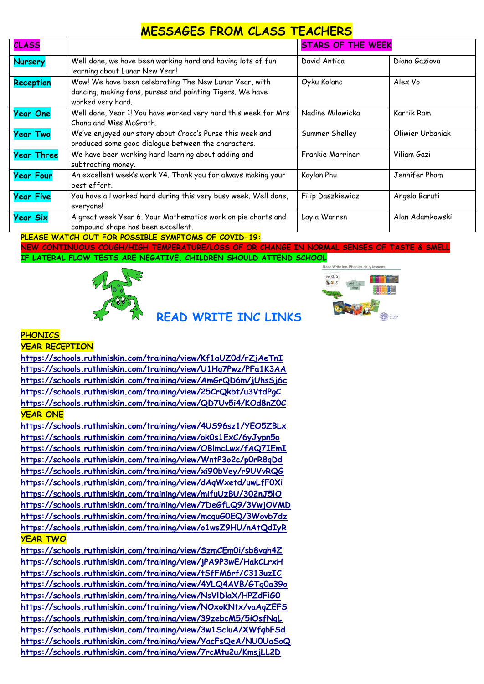## **MESSAGES FROM CLASS TEACHERS**

| <b>CLASS</b>      |                                                                                                                                                            | <b>STARS OF THE WEEK</b> |                  |
|-------------------|------------------------------------------------------------------------------------------------------------------------------------------------------------|--------------------------|------------------|
| <b>Nursery</b>    | Well done, we have been working hard and having lots of fun<br>learning about Lunar New Year!                                                              | David Antica             | Diana Gaziova    |
| Reception         | Wow! We have been celebrating The New Lunar Year, with<br>dancing, making fans, purses and painting Tigers. We have<br>worked very hard.                   | Oyku Kolanc              | Alex Vo          |
| <b>Year One</b>   | Well done, Year 1! You have worked very hard this week for Mrs<br>Chana and Miss McGrath.                                                                  | Nadine Milowicka         | Kartik Ram       |
| <b>Year Two</b>   | We've enjoyed our story about Croco's Purse this week and<br>produced some good dialogue between the characters.                                           | Summer Shelley           | Oliwier Urbaniak |
| <b>Year Three</b> | We have been working hard learning about adding and<br>subtracting money.                                                                                  | <b>Frankie Marriner</b>  | Viliam Gazi      |
| <b>Year Four</b>  | An excellent week's work Y4. Thank you for always making your<br>best effort.                                                                              | Kaylan Phu               | Jennifer Pham    |
| <b>Year Five</b>  | You have all worked hard during this very busy week. Well done,<br>everyone!                                                                               | Filip Daszkiewicz        | Angela Baruti    |
| <b>Year Six</b>   | A great week Year 6. Your Mathematics work on pie charts and<br>compound shape has been excellent.<br>NUCLOCALIZED LOUT CAN BOARTNIC CULOTALLE OF SOUTH 10 | Layla Warren             | Alan Adamkowski  |

**PLEASE WATCH OUT FOR POSSIBLE SYMPTOMS OF COVID-19:**

**NEW CONTINUOUS COUGH/HIGH TEMPERATURE/LOSS OF OR CHANGE IN NORMAL SENSES OF TASTE & SMELL IF LATERAL FLOW TESTS ARE NEGATIVE, CHILDREN SHOULD ATTEND SCHOOL**

**READ WRITE INC LINKS** 





## **PHONICS**

#### **YEAR RECEPTION**

**<https://schools.ruthmiskin.com/training/view/Kf1aUZ0d/rZjAeTnI> <https://schools.ruthmiskin.com/training/view/U1Hq7Pwz/PFa1K3AA> <https://schools.ruthmiskin.com/training/view/AmGrQD6m/jUhsSj6c> <https://schools.ruthmiskin.com/training/view/25CrQkbt/u3VtdPgC> <https://schools.ruthmiskin.com/training/view/QD7Uv5i4/KOd8nZ0C> YEAR ONE**

**<https://schools.ruthmiskin.com/training/view/4US96sz1/YEO5ZBLx> <https://schools.ruthmiskin.com/training/view/ok0s1ExC/6yJypn5o> <https://schools.ruthmiskin.com/training/view/OBlmcLwx/fAQ7IEmI> <https://schools.ruthmiskin.com/training/view/WntP3o2c/p0rR8qDd> <https://schools.ruthmiskin.com/training/view/xi90bVey/r9UVvRQG> <https://schools.ruthmiskin.com/training/view/dAqWxetd/uwLfF0Xi> <https://schools.ruthmiskin.com/training/view/mifuUzBU/302nJ5lO> <https://schools.ruthmiskin.com/training/view/7DeGfLQ9/3VwjOVMD> <https://schools.ruthmiskin.com/training/view/mcquG0EQ/3Wovb7dz> <https://schools.ruthmiskin.com/training/view/o1wsZ9HU/nAtQdIyR> YEAR TWO**

**<https://schools.ruthmiskin.com/training/view/SzmCEm0i/sb8vgh4Z> <https://schools.ruthmiskin.com/training/view/jPA9P3wE/HakCLrxH> <https://schools.ruthmiskin.com/training/view/tSfFM6rf/C313uzIC> <https://schools.ruthmiskin.com/training/view/4YLQ4AVB/GTg0a39o> <https://schools.ruthmiskin.com/training/view/NsVlDlaX/HPZdFiG0> <https://schools.ruthmiskin.com/training/view/NOxoKNtx/vaAqZEFS> <https://schools.ruthmiskin.com/training/view/39zebcM5/5iOsfNqL> <https://schools.ruthmiskin.com/training/view/3w1ScluA/XWfqbFSd> <https://schools.ruthmiskin.com/training/view/YacFsQeA/NU0UaSoQ> <https://schools.ruthmiskin.com/training/view/7rcMtu2u/KmsjLL2D>**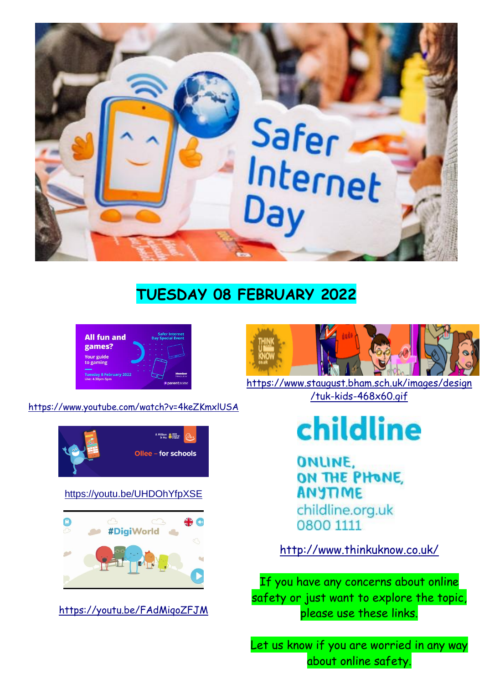

## **TUESDAY 08 FEBRUARY 2022**



<https://www.youtube.com/watch?v=4keZKmxlUSA>



## <https://youtu.be/UHDOhYfpXSE>



<https://youtu.be/FAdMiqoZFJM>



[https://www.staugust.bham.sch.uk/images/design](https://www.staugust.bham.sch.uk/images/design/tuk-kids-468x60.gif) [/tuk-kids-468x60.gif](https://www.staugust.bham.sch.uk/images/design/tuk-kids-468x60.gif)

# childline

ONLINE. ON THE PHONE, **ANYTIME** childline.org.uk 0800 1111

<http://www.thinkuknow.co.uk/>

If you have any concerns about online safety or just want to explore the topic, please use these links.

Let us know if you are worried in any way about online safety.